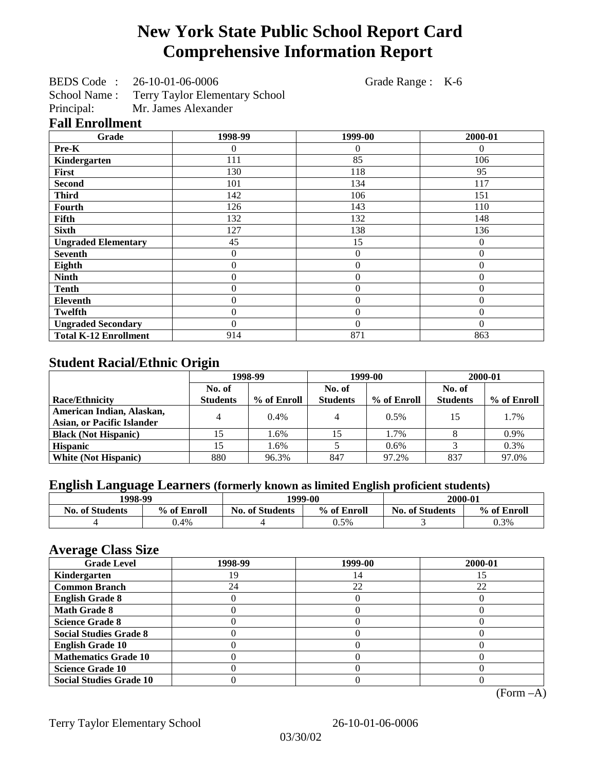# **New York State Public School Report Card Comprehensive Information Report**

BEDS Code : 26-10-01-06-0006 Grade Range : K-6

School Name : Terry Taylor Elementary School<br>Principal: Mr. James Alexander

Mr. James Alexander

## **Fall Enrollment**

| Grade                        | 1998-99 | 1999-00        | 2000-01  |
|------------------------------|---------|----------------|----------|
| Pre-K                        | 0       | 0              | $\theta$ |
| Kindergarten                 | 111     | 85             | 106      |
| First                        | 130     | 118            | 95       |
| <b>Second</b>                | 101     | 134            | 117      |
| <b>Third</b>                 | 142     | 106            | 151      |
| <b>Fourth</b>                | 126     | 143            | 110      |
| Fifth                        | 132     | 132            | 148      |
| <b>Sixth</b>                 | 127     | 138            | 136      |
| <b>Ungraded Elementary</b>   | 45      | 15             | $\theta$ |
| <b>Seventh</b>               | 0       | $\overline{0}$ | $\theta$ |
| Eighth                       | 0       | $\theta$       | 0        |
| <b>Ninth</b>                 | 0       | $\overline{0}$ | $\Omega$ |
| <b>Tenth</b>                 | 0       | $\overline{0}$ | 0        |
| <b>Eleventh</b>              | 0       | $\overline{0}$ | $\Omega$ |
| Twelfth                      | 0       | $\overline{0}$ | $\theta$ |
| <b>Ungraded Secondary</b>    | 0       | $\theta$       | $\Omega$ |
| <b>Total K-12 Enrollment</b> | 914     | 871            | 863      |

# **Student Racial/Ethnic Origin**

|                                                                | 1998-99         |             | 1999-00         |             | 2000-01         |             |
|----------------------------------------------------------------|-----------------|-------------|-----------------|-------------|-----------------|-------------|
|                                                                | No. of          |             | No. of          |             | No. of          |             |
| <b>Race/Ethnicity</b>                                          | <b>Students</b> | % of Enroll | <b>Students</b> | % of Enroll | <b>Students</b> | % of Enroll |
| American Indian, Alaskan,<br><b>Asian, or Pacific Islander</b> |                 | $0.4\%$     | 4               | 0.5%        | 15              | 1.7%        |
| <b>Black (Not Hispanic)</b>                                    |                 | 1.6%        |                 | 1.7%        |                 | 0.9%        |
| <b>Hispanic</b>                                                | 15              | 1.6%        |                 | 0.6%        |                 | 0.3%        |
| <b>White (Not Hispanic)</b>                                    | 880             | 96.3%       | 847             | 97.2%       | 837             | 97.0%       |

# **English Language Learners (formerly known as limited English proficient students)**

| 1998-99                |             | 1999-00                               |         | 2000-01                |             |
|------------------------|-------------|---------------------------------------|---------|------------------------|-------------|
| <b>No. of Students</b> | % of Enroll | <b>No. of Students</b><br>% of Enroll |         | <b>No. of Students</b> | % of Enroll |
|                        | .4%         |                                       | $0.5\%$ |                        | 0.3%        |

#### **Average Class Size**

| $\overline{\phantom{a}}$<br><b>Grade Level</b> | 1998-99 | 1999-00 | 2000-01 |
|------------------------------------------------|---------|---------|---------|
| Kindergarten                                   | 19      | 14      |         |
| <b>Common Branch</b>                           | 24      | 22      | 22      |
| <b>English Grade 8</b>                         |         |         |         |
| <b>Math Grade 8</b>                            |         |         |         |
| <b>Science Grade 8</b>                         |         |         |         |
| <b>Social Studies Grade 8</b>                  |         |         |         |
| <b>English Grade 10</b>                        |         |         |         |
| <b>Mathematics Grade 10</b>                    |         |         |         |
| <b>Science Grade 10</b>                        |         |         |         |
| <b>Social Studies Grade 10</b>                 |         |         |         |

(Form –A)